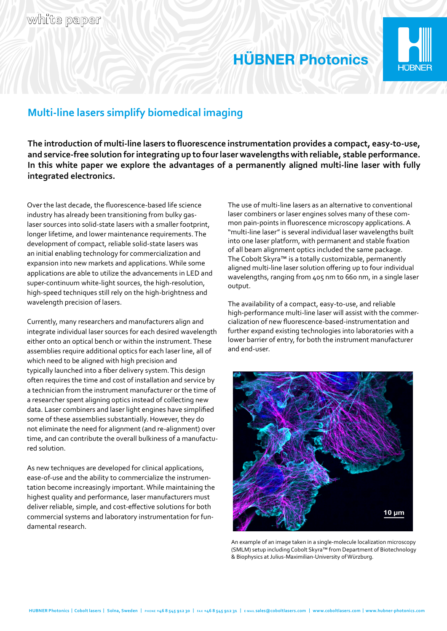

## Multi-line lasers simplify biomedical imaging

The introduction of multi-line lasers to fluorescence instrumentation provides a compact, easy-to-use, and service-free solution for integrating up to four laser wavelengths with reliable, stable performance. In this white paper we explore the advantages of a permanently aligned multi-line laser with fully integrated electronics.

Over the last decade, the fluorescence-based life science industry has already been transitioning from bulky gaslaser sources into solid-state lasers with a smaller footprint, longer lifetime, and lower maintenance requirements. The development of compact, reliable solid-state lasers was an initial enabling technology for commercialization and expansion into new markets and applications. While some applications are able to utilize the advancements in LED and super-continuum white-light sources, the high-resolution, high-speed techniques still rely on the high-brightness and wavelength precision of lasers.

Currently, many researchers and manufacturers align and integrate individual laser sources for each desired wavelength either onto an optical bench or within the instrument. These assemblies require additional optics for each laser line, all of which need to be aligned with high precision and typically launched into a fiber delivery system. This design often requires the time and cost of installation and service by a technician from the instrument manufacturer or the time of a researcher spent aligning optics instead of collecting new data. Laser combiners and laser light engines have simplified some of these assemblies substantially. However, they do not eliminate the need for alignment (and re-alignment) over time, and can contribute the overall bulkiness of a manufactured solution.

As new techniques are developed for clinical applications, ease-of-use and the ability to commercialize the instrumentation become increasingly important. While maintaining the highest quality and performance, laser manufacturers must deliver reliable, simple, and cost-effective solutions for both commercial systems and laboratory instrumentation for fundamental research.

The use of multi-line lasers as an alternative to conventional laser combiners or laser engines solves many of these common pain-points in fluorescence microscopy applications. A "multi-line laser" is several individual laser wavelengths built into one laser platform, with permanent and stable fixation of all beam alignment optics included the same package. The Cobolt Skyra™ is a totally customizable, permanently aligned multi-line laser solution offering up to four individual wavelengths, ranging from 405 nm to 660 nm, in a single laser output.

The availability of a compact, easy-to-use, and reliable high-performance multi-line laser will assist with the commercialization of new fluorescence-based-instrumentation and further expand existing technologies into laboratories with a lower barrier of entry, for both the instrument manufacturer and end-user.



An example of an image taken in a single-molecule localization microscopy (SMLM) setup including Cobolt Skyra™ from Department of Biotechnology & Biophysics at Julius-Maximilian-University of Würzburg.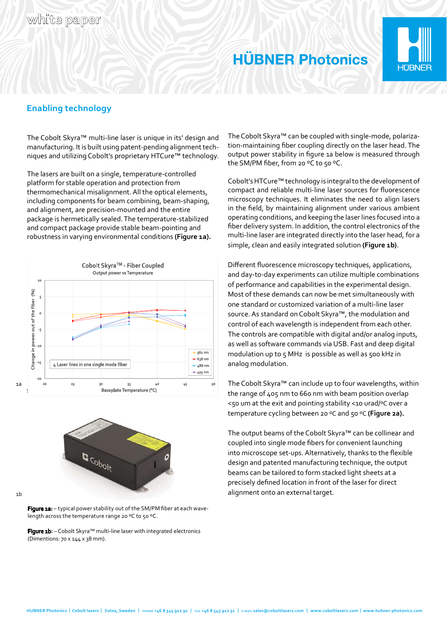

## Enabling technology

The Cobolt Skyra™ multi-line laser is unique in its' design and manufacturing. It is built using patent-pending alignment techniques and utilizing Cobolt's proprietary HTCure™ technology.

The lasers are built on a single, temperature-controlled platform for stable operation and protection from thermomechanical misalignment. All the optical elements, including components for beam combining, beam-shaping, and alignment, are precision-mounted and the entire package is hermetically sealed. The temperature-stabilized and compact package provide stable beam-pointing and robustness in varying environmental conditions (Figure 1a).





1b

Figure 1a: - typical power stability out of the SM/PM fiber at each wavelength across the temperature range 20 °C to 50 °C.

Figure 1b: - Cobolt Skyra™ multi-line laser with integrated electronics (Dimentions: 70 x 144 x 38 mm).

The Cobolt Skyra™ can be coupled with single-mode, polarization-maintaining fiber coupling directly on the laser head. The output power stability in figure 1a below is measured through the SM/PM fiber, from 20 °C to 50 °C.

Cobolt's HTCure™ technology is integral to the development of compact and reliable multi-line laser sources for fluorescence microscopy techniques. It eliminates the need to align lasers in the field, by maintaining alignment under various ambient operating conditions, and keeping the laser lines focused into a fiber delivery system. In addition, the control electronics of the multi-line laser are integrated directly into the laser head, for a simple, clean and easily integrated solution (Figure 1b).

Different fluorescence microscopy techniques, applications, and day-to-day experiments can utilize multiple combinations of performance and capabilities in the experimental design. Most of these demands can now be met simultaneously with one standard or customized variation of a multi-line laser source. As standard on Cobolt Skyra™, the modulation and control of each wavelength is independent from each other. The controls are compatible with digital and/or analog inputs, as well as software commands via USB. Fast and deep digital modulation up to 5 MHz is possible as well as 500 kHz in analog modulation.

The Cobolt Skyra™ can include up to four wavelengths, within the range of 405 nm to 660 nm with beam position overlap <50 um at the exit and pointing stability <10 urad/ƓC over a temperature cycling between 20 °C and 50 °C (Figure 2a).

The output beams of the Cobolt Skyra™ can be collinear and coupled into single mode fibers for convenient launching into microscope set-ups. Alternatively, thanks to the flexible design and patented manufacturing technique, the output beams can be tailored to form stacked light sheets at a precisely defined location in front of the laser for direct alignment onto an external target.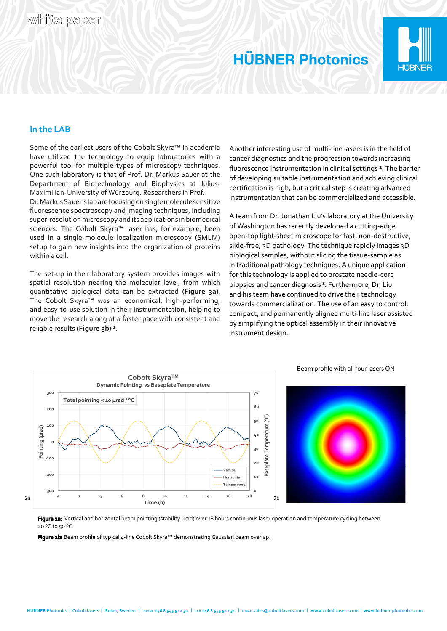

### In the LAB

Some of the earliest users of the Cobolt Skyra™ in academia have utilized the technology to equip laboratories with a powerful tool for multiple types of microscopy techniques. One such laboratory is that of Prof. Dr. Markus Sauer at the Department of Biotechnology and Biophysics at Julius-Maximilian-University of Würzburg. Researchers in Prof.

Dr. Markus Sauer's lab are focusing on single molecule sensitive fluorescence spectroscopy and imaging techniques, including super-resolution microscopy and its applications in biomedical sciences. The Cobolt Skyra™ laser has, for example, been used in a single-molecule localization microscopy (SMLM) setup to gain new insights into the organization of proteins within a cell.

The set-up in their laboratory system provides images with spatial resolution nearing the molecular level, from which quantitative biological data can be extracted (Figure 3a). The Cobolt Skyra™ was an economical, high-performing, and easy-to-use solution in their instrumentation, helping to move the research along at a faster pace with consistent and reliable results (Figure 3b)<sup>1</sup>.

Another interesting use of multi-line lasers is in the field of cancer diagnostics and the progression towards increasing fluorescence instrumentation in clinical settings<sup>2</sup>. The barrier of developing suitable instrumentation and achieving clinical certification is high, but a critical step is creating advanced instrumentation that can be commercialized and accessible.

A team from Dr. Jonathan Liu's laboratory at the University of Washington has recently developed a cutting-edge open-top light-sheet microscope for fast, non-destructive, slide-free, 3D pathology. The technique rapidly images 3D biological samples, without slicing the tissue-sample as in traditional pathology techniques. A unique application for this technology is applied to prostate needle-core biopsies and cancer diagnosis<sup>3</sup>. Furthermore, Dr. Liu and his team have continued to drive their technology towards commercialization. The use of an easy to control, compact, and permanently aligned multi-line laser assisted by simplifying the optical assembly in their innovative instrument design.



#### Figure 2a: Vertical and horizontal beam pointing (stability urad) over 18 hours continuous laser operation and temperature cycling between 20 °C to 50 °C.

Figure 2b: Beam profile of typical 4-line Cobolt Skyra™ demonstrating Gaussian beam overlap.